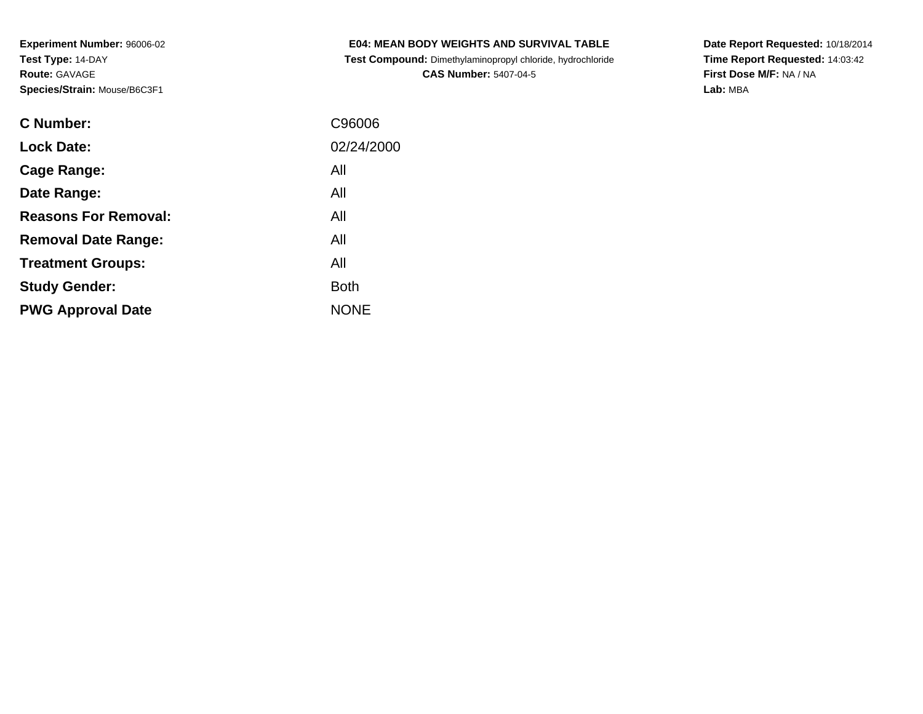**Test Compound:** Dimethylaminopropyl chloride, hydrochloride**CAS Number:** 5407-04-5

**Date Report Requested:** 10/18/2014 **Time Report Requested:** 14:03:42**First Dose M/F:** NA / NA**Lab:** MBA

| <b>C</b> Number:            | C96006      |
|-----------------------------|-------------|
| <b>Lock Date:</b>           | 02/24/2000  |
| Cage Range:                 | All         |
| Date Range:                 | All         |
| <b>Reasons For Removal:</b> | All         |
| <b>Removal Date Range:</b>  | All         |
| <b>Treatment Groups:</b>    | All         |
| <b>Study Gender:</b>        | <b>Both</b> |
| <b>PWG Approval Date</b>    | <b>NONE</b> |
|                             |             |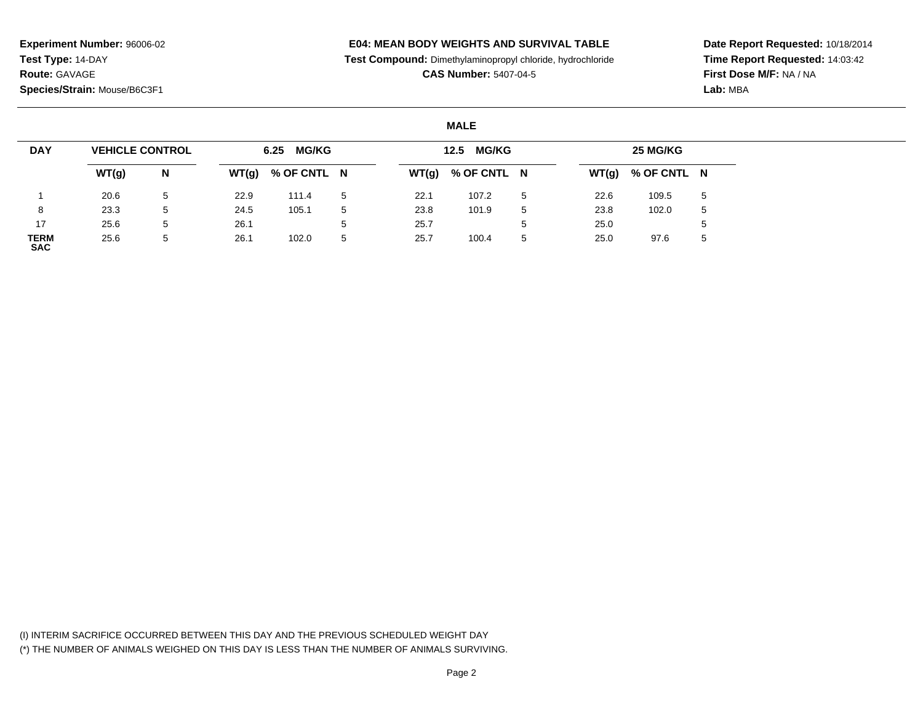#### **E04: MEAN BODY WEIGHTS AND SURVIVAL TABLE**

**Test Compound:** Dimethylaminopropyl chloride, hydrochloride

**CAS Number:** 5407-04-5

**Date Report Requested:** 10/18/2014**Time Report Requested:** 14:03:42**First Dose M/F:** NA / NA**Lab:** MBA

# **MALE**

| <b>DAY</b>                | <b>VEHICLE CONTROL</b> |   |       | <b>MG/KG</b><br>6.25 |             |       | <b>MG/KG</b><br>12.5 |   |       | 25 MG/KG    |   |
|---------------------------|------------------------|---|-------|----------------------|-------------|-------|----------------------|---|-------|-------------|---|
|                           | WT(g)                  | N | WT(g) | % OF CNTL N          |             | WT(g) | % OF CNTL N          |   | WT(g) | % OF CNTL N |   |
|                           | 20.6                   | 5 | 22.9  | 111.4                | $5^{\circ}$ | 22.1  | 107.2                | 5 | 22.6  | 109.5       | 5 |
| 8                         | 23.3                   | 5 | 24.5  | 105.1                | 5           | 23.8  | 101.9                | 5 | 23.8  | 102.0       | 5 |
| 17                        | 25.6                   | 5 | 26.1  |                      | .5          | 25.7  |                      | Ð | 25.0  |             | 5 |
| <b>TERM</b><br><b>SAC</b> | 25.6                   | 5 | 26.1  | 102.0                | 5           | 25.7  | 100.4                | 5 | 25.0  | 97.6        | 5 |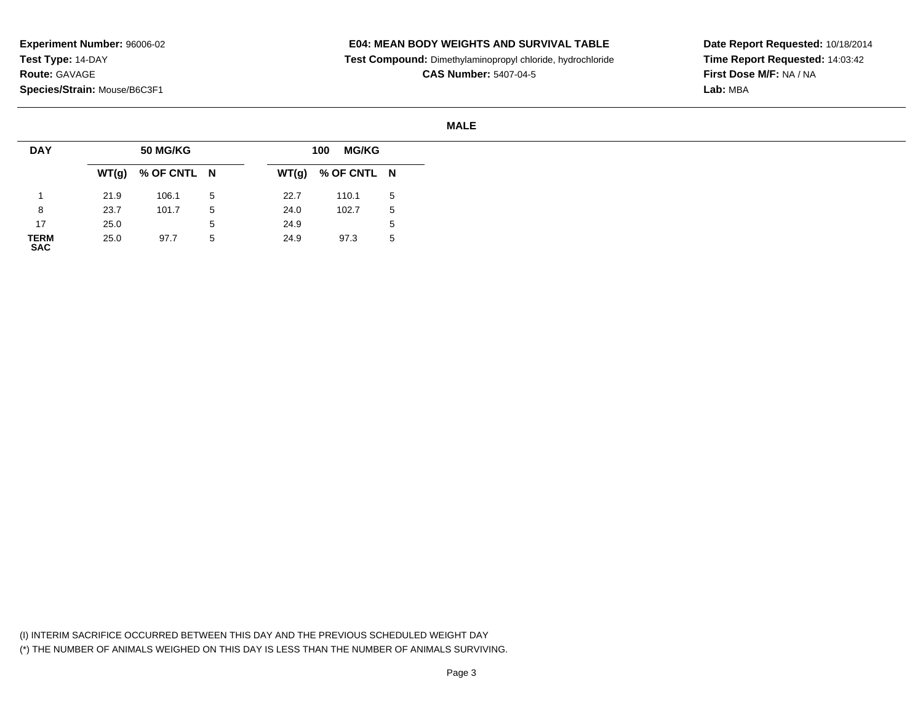# **E04: MEAN BODY WEIGHTS AND SURVIVAL TABLE**

**Test Compound:** Dimethylaminopropyl chloride, hydrochloride

**CAS Number:** 5407-04-5

**Date Report Requested:** 10/18/2014**Time Report Requested:** 14:03:42**First Dose M/F:** NA / NA**Lab:** MBA

#### **MALE**

| <b>DAY</b>          |      | <b>50 MG/KG</b>     |   |      | <b>MG/KG</b><br>100 |   |
|---------------------|------|---------------------|---|------|---------------------|---|
|                     |      | $WT(g)$ % OF CNTL N |   |      | $WT(g)$ % OF CNTL N |   |
|                     | 21.9 | 106.1               | 5 | 22.7 | 110.1               | 5 |
| 8                   | 23.7 | 101.7               | 5 | 24.0 | 102.7               | 5 |
| 17                  | 25.0 |                     | 5 | 24.9 |                     | đ |
| <b>TERM<br/>SAC</b> | 25.0 | 97.7                | 5 | 24.9 | 97.3                | 5 |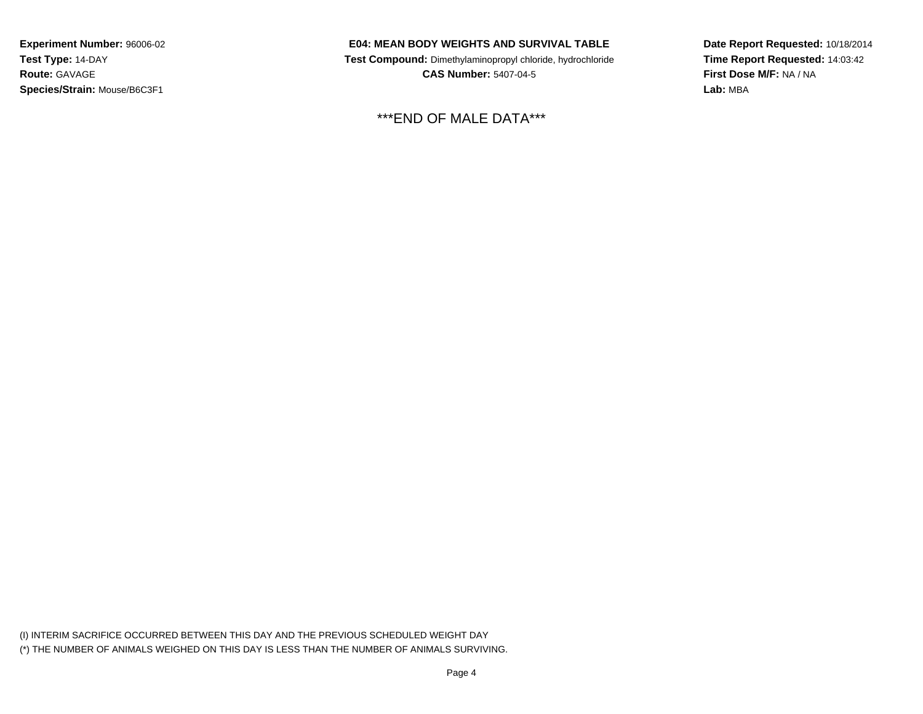# **E04: MEAN BODY WEIGHTS AND SURVIVAL TABLE**

 **Test Compound:** Dimethylaminopropyl chloride, hydrochloride**CAS Number:** 5407-04-5

\*\*\*END OF MALE DATA\*\*\*

**Date Report Requested:** 10/18/2014**Time Report Requested:** 14:03:42**First Dose M/F:** NA / NA**Lab:** MBA

(I) INTERIM SACRIFICE OCCURRED BETWEEN THIS DAY AND THE PREVIOUS SCHEDULED WEIGHT DAY(\*) THE NUMBER OF ANIMALS WEIGHED ON THIS DAY IS LESS THAN THE NUMBER OF ANIMALS SURVIVING.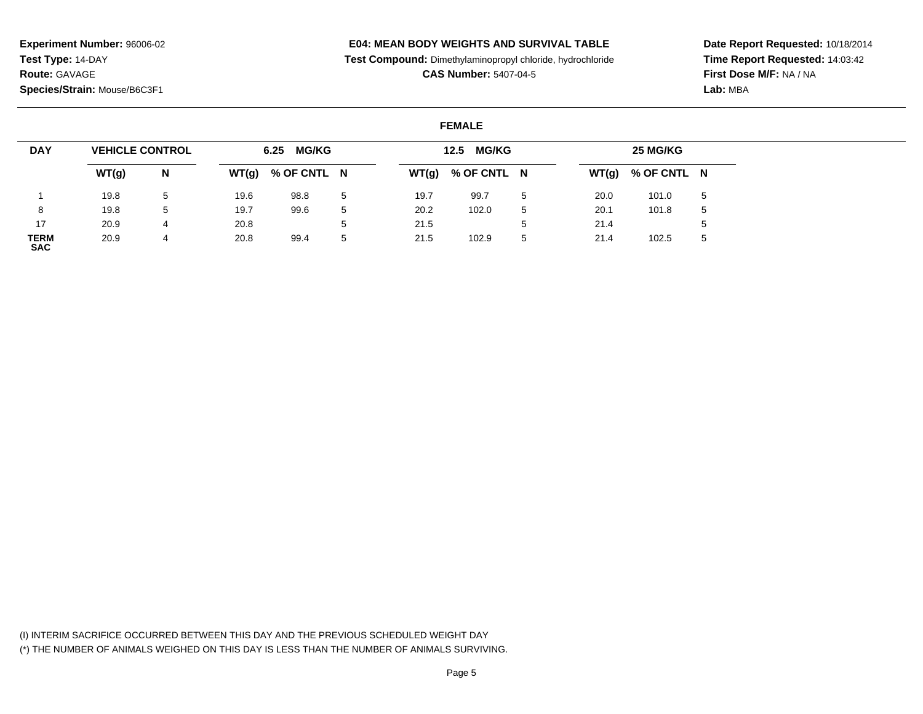# **E04: MEAN BODY WEIGHTS AND SURVIVAL TABLE**

**Test Compound:** Dimethylaminopropyl chloride, hydrochloride

**CAS Number:** 5407-04-5

**Date Report Requested:** 10/18/2014**Time Report Requested:** 14:03:42**First Dose M/F:** NA / NA**Lab:** MBA

# **FEMALE**

| <b>DAY</b>         | <b>VEHICLE CONTROL</b> |   |       | 6.25 MG/KG  |    |       | <b>MG/KG</b><br>12.5 |             |       | 25 MG/KG    |   |
|--------------------|------------------------|---|-------|-------------|----|-------|----------------------|-------------|-------|-------------|---|
|                    | WT(g)                  | N | WT(g) | % OF CNTL N |    | WT(g) | % OF CNTL N          |             | WT(g) | % OF CNTL N |   |
|                    | 19.8                   |   | 19.6  | 98.8        | -5 | 19.7  | 99.7                 | $\mathbf b$ | 20.0  | 101.0       | 5 |
|                    | 19.8                   | 5 | 19.7  | 99.6        | 5  | 20.2  | 102.0                | 5           | 20.1  | 101.8       | ა |
| 17                 | 20.9                   |   | 20.8  |             | 5  | 21.5  |                      |             | 21.4  |             |   |
| TERM<br><b>SAC</b> | 20.9                   |   | 20.8  | 99.4        | 5  | 21.5  | 102.9                | 5           | 21.4  | 102.5       | ა |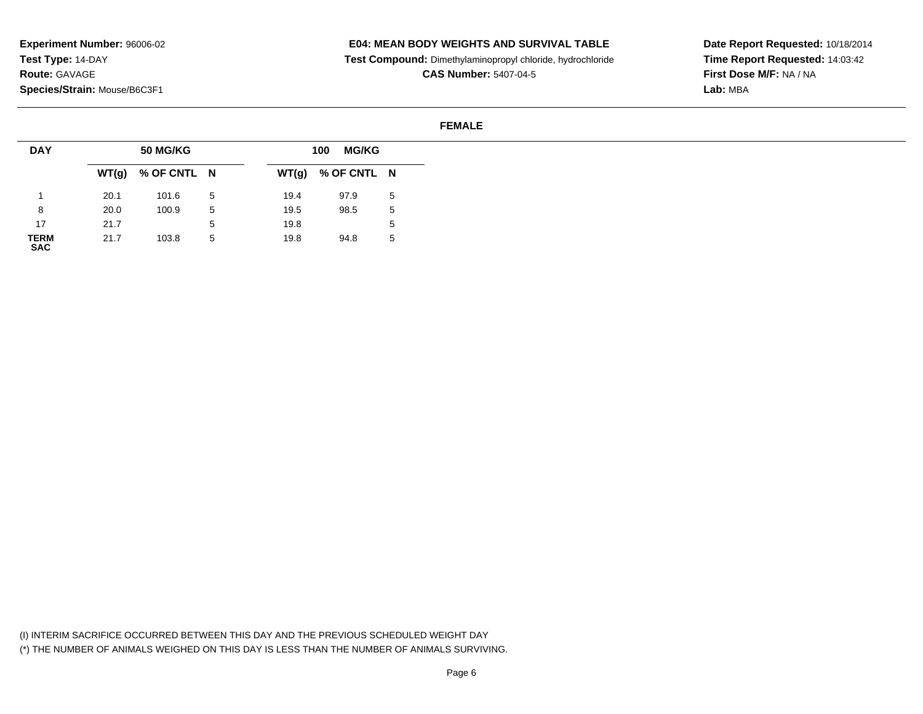# **E04: MEAN BODY WEIGHTS AND SURVIVAL TABLE**

**Test Compound:** Dimethylaminopropyl chloride, hydrochloride

**CAS Number:** 5407-04-5

**Date Report Requested:** 10/18/2014**Time Report Requested:** 14:03:42**First Dose M/F:** NA / NA**Lab:** MBA

# **FEMALE**

| <b>DAY</b>          |      | <b>50 MG/KG</b>     |   |      | <b>MG/KG</b><br>100 |   |
|---------------------|------|---------------------|---|------|---------------------|---|
|                     |      | $WT(g)$ % OF CNTL N |   |      | $WT(g)$ % OF CNTL N |   |
|                     | 20.1 | 101.6               | 5 | 19.4 | 97.9                | 5 |
| 8                   | 20.0 | 100.9               | 5 | 19.5 | 98.5                | 5 |
| 17                  | 21.7 |                     | 5 | 19.8 |                     | ა |
| <b>TERM<br/>SAC</b> | 21.7 | 103.8               | 5 | 19.8 | 94.8                | 5 |